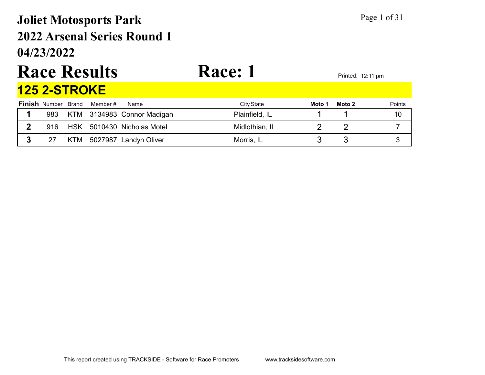## 04/23/2022 2022 Arsenal Series Round 1 Joliet Motosports Park Page 1 of 31

# Race Results Race: 1

|   |                            | ----------------- |                            |                |        | 1.1111004.12.111111 |               |
|---|----------------------------|-------------------|----------------------------|----------------|--------|---------------------|---------------|
|   | <u>125 2-STROKE</u>        |                   |                            |                |        |                     |               |
|   | <b>Finish Number Brand</b> | Member #          | Name                       | City, State    | Moto 1 | Moto 2              | <b>Points</b> |
|   | 983                        |                   | KTM 3134983 Connor Madigan | Plainfield, IL |        |                     | 10            |
| 2 | 916                        |                   | HSK 5010430 Nicholas Motel | Midlothian, IL |        |                     |               |
|   |                            |                   | KTM 5027987 Landyn Oliver  | Morris, IL     |        |                     |               |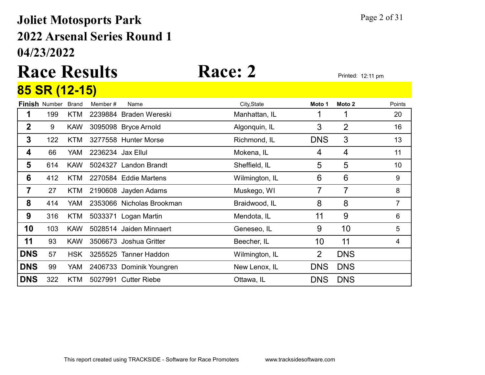## 04/23/2022 2022 Arsenal Series Round 1 Joliet Motosports Park Page 2 of 31

## Race Results Race: 2 Printed: 12:11 pm 85 SR (12-15)

|             |                      |              | .,                |                           |                |                |            |                 |
|-------------|----------------------|--------------|-------------------|---------------------------|----------------|----------------|------------|-----------------|
|             | <b>Finish Number</b> | <b>Brand</b> | Member#           | Name                      | City, State    | Moto 1         | Moto 2     | Points          |
| 1           | 199                  | <b>KTM</b>   |                   | 2239884 Braden Wereski    | Manhattan, IL  |                | 1          | 20              |
| $\mathbf 2$ | 9                    | <b>KAW</b>   |                   | 3095098 Bryce Arnold      | Algonquin, IL  | 3              | 2          | 16              |
| 3           | 122                  | <b>KTM</b>   |                   | 3277558 Hunter Morse      | Richmond, IL   | <b>DNS</b>     | 3          | 13              |
| 4           | 66                   | <b>YAM</b>   | 2236234 Jax Ellul |                           | Mokena, IL     | 4              | 4          | 11              |
| 5           | 614                  | <b>KAW</b>   |                   | 5024327 Landon Brandt     | Sheffield, IL  | 5              | 5          | 10 <sup>1</sup> |
| 6           | 412                  | <b>KTM</b>   |                   | 2270584 Eddie Martens     | Wilmington, IL | 6              | 6          | 9               |
| 7           | 27                   | KTM          |                   | 2190608 Jayden Adams      | Muskego, WI    | 7              | 7          | 8               |
| 8           | 414                  | <b>YAM</b>   |                   | 2353066 Nicholas Brookman | Braidwood, IL  | 8              | 8          | $\overline{7}$  |
| 9           | 316                  | <b>KTM</b>   |                   | 5033371 Logan Martin      | Mendota, IL    | 11             | 9          | 6               |
| 10          | 103                  | <b>KAW</b>   |                   | 5028514 Jaiden Minnaert   | Geneseo, IL    | 9              | 10         | 5               |
| 11          | 93                   | <b>KAW</b>   |                   | 3506673 Joshua Gritter    | Beecher, IL    | 10             | 11         | 4               |
| <b>DNS</b>  | 57                   | <b>HSK</b>   |                   | 3255525 Tanner Haddon     | Wilmington, IL | $\overline{2}$ | <b>DNS</b> |                 |
| <b>DNS</b>  | 99                   | YAM          |                   | 2406733 Dominik Youngren  | New Lenox, IL  | <b>DNS</b>     | <b>DNS</b> |                 |
| <b>DNS</b>  | 322                  | <b>KTM</b>   |                   | 5027991 Cutter Riebe      | Ottawa, IL     | <b>DNS</b>     | <b>DNS</b> |                 |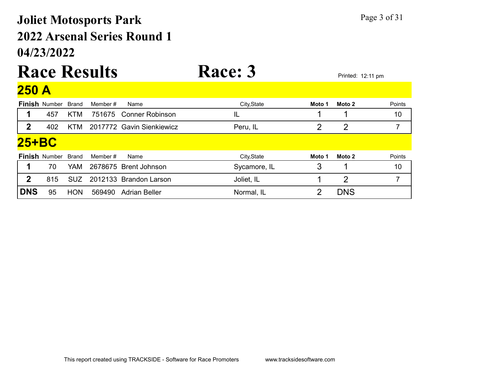## 04/23/2022 2022 Arsenal Series Round 1 Joliet Motosports Park Page 3 of 31

### Race Results Race: 3 Printed: 12:11 pm  $250A$

| $\blacksquare\cup\cup\blacksquare$ |                      |            |          |                           |              |        |                |        |
|------------------------------------|----------------------|------------|----------|---------------------------|--------------|--------|----------------|--------|
|                                    | <b>Finish Number</b> | Brand      | Member # | Name                      | City, State  | Moto 1 | Moto 2         | Points |
|                                    | 457                  | <b>KTM</b> |          | 751675 Conner Robinson    | IL           |        |                | 10     |
| 2                                  | 402                  | <b>KTM</b> |          | 2017772 Gavin Sienkiewicz | Peru, IL     | 2      | $\overline{2}$ |        |
| 25+BC                              |                      |            |          |                           |              |        |                |        |
|                                    | <b>Finish Number</b> | Brand      | Member # | Name                      | City, State  | Moto 1 | Moto 2         | Points |
|                                    | 70                   | YAM        |          | 2678675 Brent Johnson     | Sycamore, IL | 3      |                | 10     |
| 2                                  | 815                  | <b>SUZ</b> |          | 2012133 Brandon Larson    | Joliet, IL   |        | 2              |        |
| <b>DNS</b>                         | 95                   | <b>HON</b> | 569490   | Adrian Beller             | Normal, IL   |        | <b>DNS</b>     |        |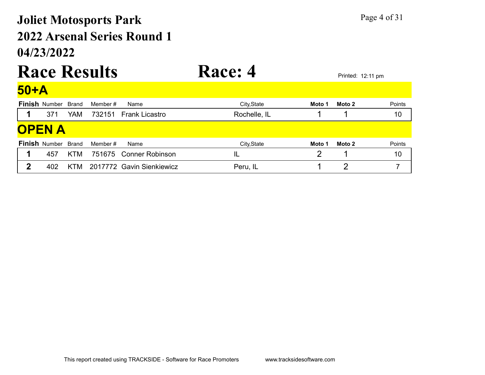## 04/23/2022 2022 Arsenal Series Round 1 Joliet Motosports Park Page 4 of 31

### Race Results Race: 4 Finish Number Brand Member # Name **City,State** City,State **Moto 1 Moto 2** Points 50+A 1 371 YAM 732151 Frank Licastro Rochelle, IL 1 10 Finish Number Brand Member # Name **City,State** City,State **Moto 1 Moto 2** Points **OPEN A** 1 457 KTM 751675 Conner Robinson IL IL 2 1 10 2 402 KTM 2017772 Gavin Sienkiewicz Peru, IL 1 2 7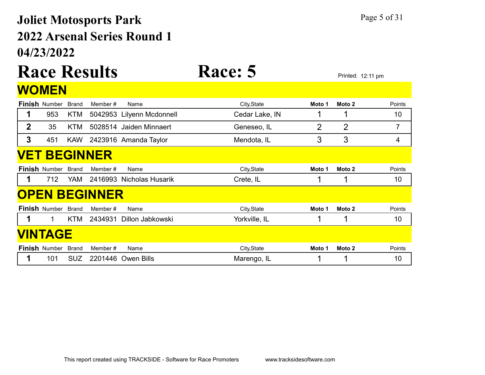## 04/23/2022 2022 Arsenal Series Round 1 Joliet Motosports Park Page 5 of 31

## Race Results Race: 5 Printed: 12:11 pm **WOMEN**

|             | <b>Finish Number</b> | <b>Brand</b> | Member#              | Name                      | City, State    | Moto 1 | Moto 2         | Points         |
|-------------|----------------------|--------------|----------------------|---------------------------|----------------|--------|----------------|----------------|
| 1           | 953                  | KTM          |                      | 5042953 Lilyenn Mcdonnell | Cedar Lake, IN |        |                | 10             |
| $\mathbf 2$ | 35                   | KTM          | 5028514              | Jaiden Minnaert           | Geneseo, IL    | 2      | $\overline{2}$ | $\overline{7}$ |
| 3           | 451                  | <b>KAW</b>   |                      | 2423916 Amanda Taylor     | Mendota, IL    | 3      | 3              | 4              |
|             |                      |              | <b>VET BEGINNER</b>  |                           |                |        |                |                |
|             | <b>Finish Number</b> | <b>Brand</b> | Member #             | Name                      | City, State    | Moto 1 | Moto 2         | Points         |
| 1           | 712                  | <b>YAM</b>   |                      | 2416993 Nicholas Husarik  | Crete, IL      |        |                | 10             |
|             |                      |              | <b>OPEN BEGINNER</b> |                           |                |        |                |                |
|             | <b>Finish Number</b> | Brand        | Member #             | Name                      | City, State    | Moto 1 | Moto 2         | Points         |
|             | 1                    | <b>KTM</b>   | 2434931              | Dillon Jabkowski          | Yorkville, IL  |        |                | 10             |
|             | <b>VINTAGE</b>       |              |                      |                           |                |        |                |                |
|             | <b>Finish Number</b> | <b>Brand</b> | Member #             | Name                      | City, State    | Moto 1 | Moto 2         | Points         |
|             | 101                  | <b>SUZ</b>   |                      | 2201446 Owen Bills        | Marengo, IL    |        |                | 10             |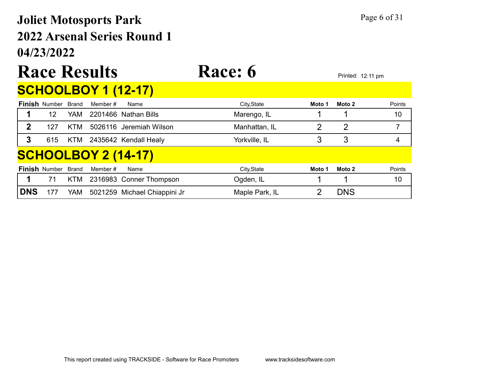## 04/23/2022 2022 Arsenal Series Round 1 Joliet Motosports Park Page 6 of 31

## Race Results Race: 6 Printed: 12:11 pm SCHOOLBOY 1 (12-17)

|            | <b>Finish Number</b> | Brand      | Member # | Name                         | City, State    | Moto 1 | Moto 2         | Points |
|------------|----------------------|------------|----------|------------------------------|----------------|--------|----------------|--------|
|            | 12                   | YAM        |          | 2201466 Nathan Bills         | Marengo, IL    |        |                | 10     |
| 2          | 127                  | <b>KTM</b> |          | 5026116 Jeremiah Wilson      | Manhattan, IL  | 2      | $\overline{2}$ |        |
| 3          | 615                  | KTM        |          | 2435642 Kendall Healy        | Yorkville, IL  |        | 3              | 4      |
|            |                      |            |          | <u>SCHOOLBOY 2 (14-17)</u>   |                |        |                |        |
|            | <b>Finish Number</b> | Brand      | Member # | Name                         | City, State    | Moto 1 | Moto 2         | Points |
|            | 71                   | <b>KTM</b> |          | 2316983 Conner Thompson      | Ogden, IL      |        |                | 10     |
| <b>DNS</b> | 177                  | YAM        |          | 5021259 Michael Chiappini Jr | Maple Park, IL |        | <b>DNS</b>     |        |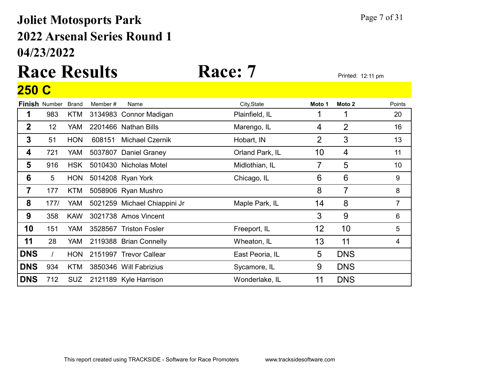## 04/23/2022 2022 Arsenal Series Round 1 Joliet Motosports Park Page 7 of 31

## Race Results Race: 7 Printed: 12:11 pm 250 C

| Points<br>20 |
|--------------|
|              |
|              |
| 16           |
| 13           |
| 11           |
| 10           |
| 9            |
| 8            |
| 7            |
| 6            |
| 5            |
| 4            |
|              |
|              |
|              |
|              |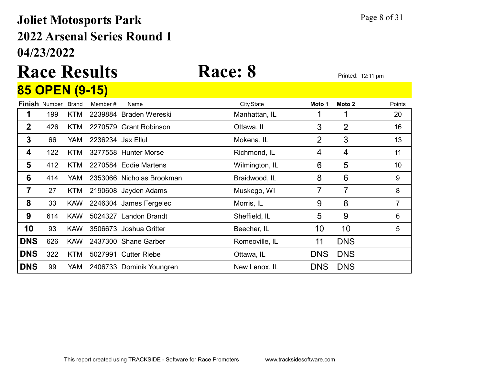## 04/23/2022 2022 Arsenal Series Round 1 Joliet Motosports Park Page 8 of 31

## Race Results Race: 8 Printed: 12:11 pm 85 OPEN (9-15)

|                | <b>Finish Number</b> | <b>Brand</b> | Member#           | Name                      | City, State    | Moto 1         | Moto 2     | Points |
|----------------|----------------------|--------------|-------------------|---------------------------|----------------|----------------|------------|--------|
| 1              | 199                  | KTM          |                   | 2239884 Braden Wereski    | Manhattan, IL  |                |            | 20     |
| $\mathbf 2$    | 426                  | KTM          |                   | 2270579 Grant Robinson    | Ottawa, IL     | 3              | 2          | 16     |
| 3              | 66                   | <b>YAM</b>   | 2236234 Jax Ellul |                           | Mokena, IL     | $\overline{2}$ | 3          | 13     |
| 4              | 122                  | <b>KTM</b>   |                   | 3277558 Hunter Morse      | Richmond, IL   | 4              | 4          | 11     |
| 5              | 412                  | <b>KTM</b>   |                   | 2270584 Eddie Martens     | Wilmington, IL | 6              | 5          | 10     |
| 6              | 414                  | <b>YAM</b>   |                   | 2353066 Nicholas Brookman | Braidwood, IL  | 8              | 6          | 9      |
| $\overline{7}$ | 27                   | KTM          |                   | 2190608 Jayden Adams      | Muskego, WI    | 7              | 7          | 8      |
| 8              | 33                   | <b>KAW</b>   |                   | 2246304 James Fergelec    | Morris, IL     | 9              | 8          | 7      |
| 9              | 614                  | <b>KAW</b>   |                   | 5024327 Landon Brandt     | Sheffield, IL  | 5              | 9          | 6      |
| 10             | 93                   | <b>KAW</b>   |                   | 3506673 Joshua Gritter    | Beecher, IL    | 10             | 10         | 5      |
| <b>DNS</b>     | 626                  | <b>KAW</b>   |                   | 2437300 Shane Garber      | Romeoville, IL | 11             | <b>DNS</b> |        |
| <b>DNS</b>     | 322                  | <b>KTM</b>   |                   | 5027991 Cutter Riebe      | Ottawa, IL     | <b>DNS</b>     | <b>DNS</b> |        |
| <b>DNS</b>     | 99                   | YAM          |                   | 2406733 Dominik Youngren  | New Lenox, IL  | <b>DNS</b>     | <b>DNS</b> |        |
|                |                      |              |                   |                           |                |                |            |        |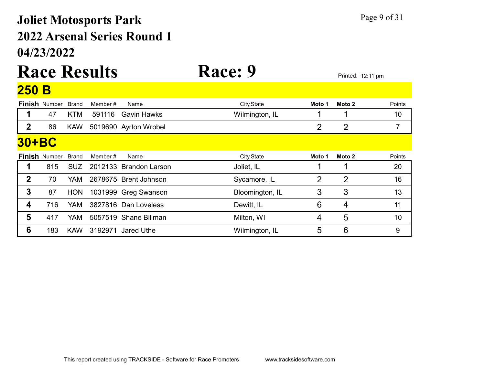## 04/23/2022 2022 Arsenal Series Round 1 Joliet Motosports Park Page 9 of 31

## Race Results Race: 9 250 B

|              | <b>Finish Number</b> | <b>Brand</b> | Member # | Name                   | City, State     | Moto 1 | Moto 2         | Points |
|--------------|----------------------|--------------|----------|------------------------|-----------------|--------|----------------|--------|
|              | 47                   | <b>KTM</b>   | 591116   | <b>Gavin Hawks</b>     | Wilmington, IL  |        |                | 10     |
| $\mathbf{2}$ | 86                   | <b>KAW</b>   |          | 5019690 Ayrton Wrobel  |                 | 2      | $\overline{2}$ | 7      |
| <b>30+BC</b> |                      |              |          |                        |                 |        |                |        |
|              | <b>Finish Number</b> | <b>Brand</b> | Member # | Name                   | City, State     | Moto 1 | Moto 2         | Points |
|              | 815                  | SUZ.         |          | 2012133 Brandon Larson | Joliet, IL      |        |                | 20     |
| $\mathbf 2$  | 70                   | <b>YAM</b>   |          | 2678675 Brent Johnson  | Sycamore, IL    | 2      | $\overline{2}$ | 16     |
| 3            | 87                   | <b>HON</b>   |          | 1031999 Greg Swanson   | Bloomington, IL | 3      | 3              | 13     |
| 4            | 716                  | <b>YAM</b>   |          | 3827816 Dan Loveless   | Dewitt, IL      | 6      | 4              | 11     |
| 5            | 417                  | <b>YAM</b>   |          | 5057519 Shane Billman  | Milton, WI      | 4      | 5              | 10     |
| 6            | 183                  | <b>KAW</b>   | 3192971  | Jared Uthe             | Wilmington, IL  | 5      | 6              | 9      |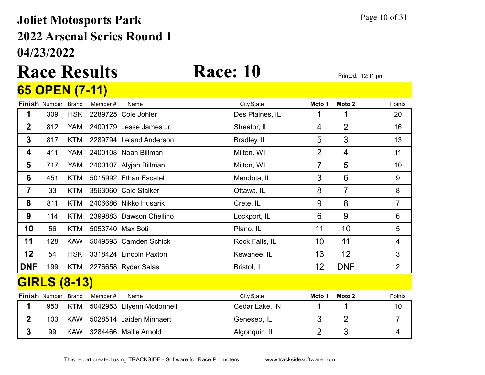## 04/23/2022 2022 Arsenal Series Round 1 Joliet Motosports Park Page 10 of 31

## Race Results Race: 10 Printed: 12:11 pm 65 OPEN (7-11)

|             | <b>Finish Number</b> | <b>Brand</b> | Member# | Name                      | City, State     | Moto 1         | Moto 2            | Points         |
|-------------|----------------------|--------------|---------|---------------------------|-----------------|----------------|-------------------|----------------|
| 1           | 309                  | <b>HSK</b>   |         | 2289725 Cole Johler       | Des Plaines, IL |                | 1                 | 20             |
| $\mathbf 2$ | 812                  | <b>YAM</b>   |         | 2400179 Jesse James Jr.   | Streator, IL    | 4              | $\overline{2}$    | 16             |
| 3           | 817                  | <b>KTM</b>   |         | 2289794 Leland Anderson   | Bradley, IL     | 5              | 3                 | 13             |
| 4           | 411                  | YAM          |         | 2400108 Noah Billman      | Milton, WI      | $\overline{2}$ | 4                 | 11             |
| 5           | 717                  | YAM          |         | 2400107 Alyjah Billman    | Milton, WI      | 7              | 5                 | 10             |
| 6           | 451                  | <b>KTM</b>   |         | 5015992 Ethan Escatel     | Mendota, IL     | 3              | 6                 | $9\,$          |
| 7           | 33                   | <b>KTM</b>   |         | 3563060 Cole Stalker      | Ottawa, IL      | 8              | 7                 | 8              |
| 8           | 811                  | <b>KTM</b>   |         | 2406686 Nikko Husarik     | Crete, IL       | 9              | 8                 | $\overline{7}$ |
| 9           | 114                  | <b>KTM</b>   |         | 2399883 Dawson Chellino   | Lockport, IL    | 6              | 9                 | 6              |
| 10          | 56                   | <b>KTM</b>   |         | 5053740 Max Soti          | Plano, IL       | 11             | 10                | 5              |
| 11          | 128                  | <b>KAW</b>   |         | 5049595 Camden Schick     | Rock Falls, IL  | 10             | 11                | 4              |
| 12          | 54                   | <b>HSK</b>   |         | 3318424 Lincoln Paxton    | Kewanee, IL     | 13             | 12                | 3              |
| <b>DNF</b>  | 199                  | <b>KTM</b>   |         | 2276658 Ryder Salas       | Bristol, IL     | 12             | <b>DNF</b>        | $\overline{2}$ |
|             | <b>GIRLS (8-13)</b>  |              |         |                           |                 |                |                   |                |
|             | <b>Finish Number</b> | <b>Brand</b> | Member# | Name                      | City, State     | Moto 1         | Moto <sub>2</sub> | Points         |
| 1           | 953                  | <b>KTM</b>   |         | 5042953 Lilyenn Mcdonnell | Cedar Lake, IN  |                |                   | 10             |
| $\mathbf 2$ | 103                  | <b>KAW</b>   |         | 5028514 Jaiden Minnaert   | Geneseo, IL     | 3              | $\overline{2}$    | $\overline{7}$ |
| 3           | 99                   | <b>KAW</b>   |         | 3284466 Mallie Arnold     | Algonquin, IL   | $\overline{2}$ | 3                 | 4              |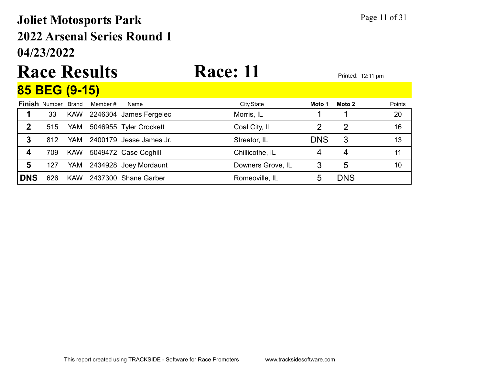## 04/23/2022 2022 Arsenal Series Round 1 Joliet Motosports Park Page 11 of 31

### Race Results Race: 11 85 BEG (9-15)

|             | <u>UV PLV (V IV)</u>       |            |          |                         |                   |            |            |        |
|-------------|----------------------------|------------|----------|-------------------------|-------------------|------------|------------|--------|
|             | <b>Finish Number Brand</b> |            | Member # | Name                    | City, State       | Moto 1     | Moto 2     | Points |
|             | 33                         | <b>KAW</b> |          | 2246304 James Fergelec  | Morris, IL        |            |            | 20     |
| $\mathbf 2$ | 515                        | YAM        |          | 5046955 Tyler Crockett  | Coal City, IL     |            | 2          | 16     |
| 3           | 812                        | YAM.       |          | 2400179 Jesse James Jr. | Streator, IL      | <b>DNS</b> | 3          | 13     |
|             | 709                        | <b>KAW</b> |          | 5049472 Case Coghill    | Chillicothe, IL   |            | 4          | 11     |
| 5           | 127                        | YAM        |          | 2434928 Joey Mordaunt   | Downers Grove, IL | 3          | 5          | 10     |
| <b>DNS</b>  | 626                        | <b>KAW</b> |          | 2437300 Shane Garber    | Romeoville, IL    | ხ          | <b>DNS</b> |        |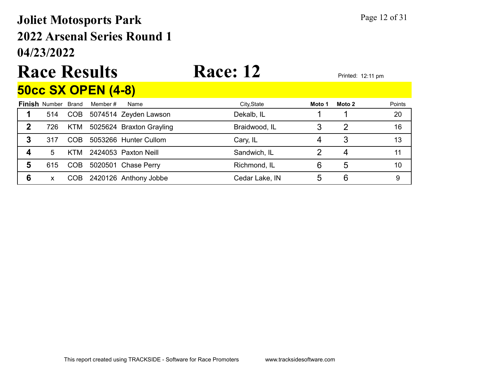## 04/23/2022 2022 Arsenal Series Round 1 Joliet Motosports Park Page 12 of 31

# Race Results Race: 12

# 50cc SX OPEN (4-8)

|   | <b>Finish Number Brand</b> |      | Member # | Name                         | City, State    | Moto 1 | Moto 2 | Points |
|---|----------------------------|------|----------|------------------------------|----------------|--------|--------|--------|
|   | 514                        |      |          | COB 5074514 Zeyden Lawson    | Dekalb, IL     |        |        | 20     |
| 2 | 726.                       |      |          | KTM 5025624 Braxton Grayling | Braidwood, IL  |        |        | 16     |
|   | 317                        | COB. |          | 5053266 Hunter Cullom        | Cary, IL       |        |        | 13     |
|   | 5                          |      |          | KTM 2424053 Paxton Neill     | Sandwich, IL   |        |        |        |
| 5 | 615                        | COB  |          | 5020501 Chase Perry          | Richmond, IL   |        | 5      | 10     |
|   | x                          | COB  |          | 2420126 Anthony Jobbe        | Cedar Lake, IN |        | 6      |        |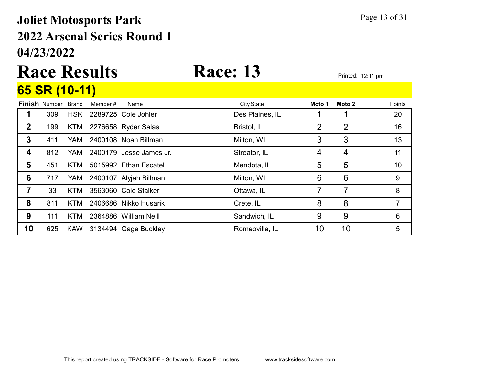## 04/23/2022 2022 Arsenal Series Round 1 Joliet Motosports Park Page 13 of 31

## Race Results Race: 13 Printed: 12:11 pm 65 SR (10-11)

|                  | <b>Finish Number</b> | Brand      | Member # | Name                    | City, State     | Moto 1 | Moto 2         | Points |
|------------------|----------------------|------------|----------|-------------------------|-----------------|--------|----------------|--------|
|                  | 309                  | <b>HSK</b> |          | 2289725 Cole Johler     | Des Plaines, IL |        |                | 20     |
| $\mathbf 2$      | 199                  |            |          | KTM 2276658 Ryder Salas | Bristol, IL     | 2      | $\overline{2}$ | 16     |
| 3                | 411                  | YAM        |          | 2400108 Noah Billman    | Milton, WI      | 3      | 3              | 13     |
| $\boldsymbol{4}$ | 812                  | <b>YAM</b> |          | 2400179 Jesse James Jr. | Streator, IL    | 4      | 4              | 11     |
| 5                | 451                  | KTM.       |          | 5015992 Ethan Escatel   | Mendota, IL     | 5      | 5              | 10     |
| 6                | 717                  | YAM        |          | 2400107 Alyjah Billman  | Milton, WI      | 6      | 6              | 9      |
|                  | 33                   | KTM        |          | 3563060 Cole Stalker    | Ottawa, IL      |        |                | 8      |
| 8                | 811                  | KTM        |          | 2406686 Nikko Husarik   | Crete, IL       | 8      | 8              |        |
| 9                | 111                  | KTM.       |          | 2364886 William Neill   | Sandwich, IL    | 9      | 9              | 6      |
| 10               | 625                  | <b>KAW</b> |          | 3134494 Gage Buckley    | Romeoville, IL  | 10     | 10             | 5      |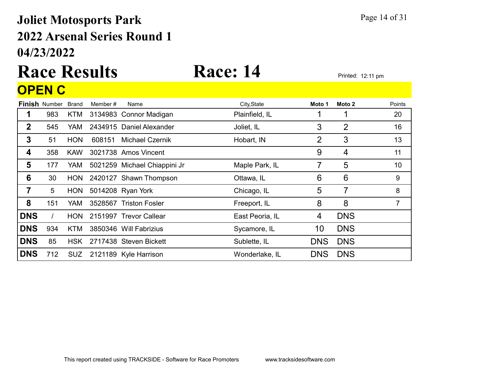## 04/23/2022 2022 Arsenal Series Round 1 Joliet Motosports Park Page 14 of 31

## Race Results Race: 14 Printed: 12:11 pm **OPEN C**

|                  | <b>Finish Number</b> | <b>Brand</b> | Member # | Name                         | City, State     | Moto 1     | Moto 2         | Points |
|------------------|----------------------|--------------|----------|------------------------------|-----------------|------------|----------------|--------|
| 1                | 983                  | <b>KTM</b>   |          | 3134983 Connor Madigan       | Plainfield, IL  |            | 1              | 20     |
| $\mathbf{2}$     | 545                  | <b>YAM</b>   |          | 2434915 Daniel Alexander     | Joliet, IL      | 3          | $\overline{2}$ | 16     |
| $\boldsymbol{3}$ | 51                   | <b>HON</b>   | 608151   | <b>Michael Czernik</b>       | Hobart, IN      | 2          | 3              | 13     |
| 4                | 358                  | <b>KAW</b>   |          | 3021738 Amos Vincent         |                 | 9          | 4              | 11     |
| 5                | 177                  | <b>YAM</b>   |          | 5021259 Michael Chiappini Jr | Maple Park, IL  |            | 5              | 10     |
| 6                | 30                   | <b>HON</b>   |          | 2420127 Shawn Thompson       | Ottawa, IL      | 6          | 6              | 9      |
| 7                | 5                    | <b>HON</b>   |          | 5014208 Ryan York            | Chicago, IL     | 5          | 7              | 8      |
| 8                | 151                  | <b>YAM</b>   |          | 3528567 Triston Fosler       | Freeport, IL    | 8          | 8              | 7      |
| <b>DNS</b>       |                      | <b>HON</b>   |          | 2151997 Trevor Callear       | East Peoria, IL | 4          | <b>DNS</b>     |        |
| <b>DNS</b>       | 934                  | <b>KTM</b>   |          | 3850346 Will Fabrizius       | Sycamore, IL    | 10         | <b>DNS</b>     |        |
| <b>DNS</b>       | 85                   | <b>HSK</b>   |          | 2717438 Steven Bickett       | Sublette, IL    | <b>DNS</b> | <b>DNS</b>     |        |
| <b>DNS</b>       | 712                  | SUZ.         |          | 2121189 Kyle Harrison        | Wonderlake, IL  | <b>DNS</b> | <b>DNS</b>     |        |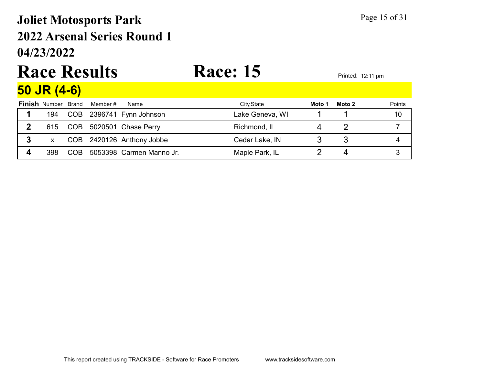## 04/23/2022 2022 Arsenal Series Round 1 Joliet Motosports Park Page 15 of 31

# Race Results Race: 15 Printed: 12:11 pm

### 50 JR (4-6)

| <b>Finish Number Brand</b> |     | Member # | Name                      | City, State     | Moto 1 | Moto 2 | Points |
|----------------------------|-----|----------|---------------------------|-----------------|--------|--------|--------|
| 194                        |     |          | COB 2396741 Fynn Johnson  | Lake Geneva, WI |        |        | 10     |
| 615                        |     |          | COB 5020501 Chase Perry   | Richmond, IL    |        |        |        |
|                            |     |          | COB 2420126 Anthony Jobbe | Cedar Lake, IN  |        |        |        |
| 398                        | COB |          | 5053398 Carmen Manno Jr.  | Maple Park, IL  |        |        |        |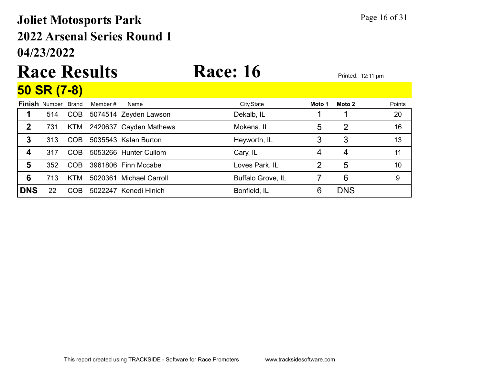## 04/23/2022 2022 Arsenal Series Round 1 Joliet Motosports Park Page 16 of 31

### Race Results Race: 16 Printed: 12:11 pm 50 SR (7-8)

|     |            | Member #                                                                                         | Name | City, State                                                                                                                                                                | Moto 1 | Moto 2         | Points |
|-----|------------|--------------------------------------------------------------------------------------------------|------|----------------------------------------------------------------------------------------------------------------------------------------------------------------------------|--------|----------------|--------|
| 514 |            |                                                                                                  |      | Dekalb, IL                                                                                                                                                                 |        |                | 20     |
| 731 |            |                                                                                                  |      | Mokena, IL                                                                                                                                                                 | 5      | $\overline{2}$ | 16     |
| 313 |            |                                                                                                  |      | Heyworth, IL                                                                                                                                                               |        | 3              | 13     |
| 317 |            |                                                                                                  |      | Cary, IL                                                                                                                                                                   | 4      | 4              | 11     |
| 352 |            |                                                                                                  |      | Loves Park, IL                                                                                                                                                             | 2      | 5              | 10     |
| 713 |            | 5020361                                                                                          |      | <b>Buffalo Grove, IL</b>                                                                                                                                                   |        | 6              | 9      |
| 22  | <b>COB</b> |                                                                                                  |      | Bonfield, IL                                                                                                                                                               | 6      | <b>DNS</b>     |        |
|     |            | <b>Finish Number Brand</b><br><b>COB</b><br>KTM<br><b>COB</b><br><b>COB</b><br><b>COB</b><br>KTM |      | 5074514 Zeyden Lawson<br>2420637 Cayden Mathews<br>5035543 Kalan Burton<br>5053266 Hunter Cullom<br>3961806 Finn Mccabe<br><b>Michael Carroll</b><br>5022247 Kenedi Hinich |        |                |        |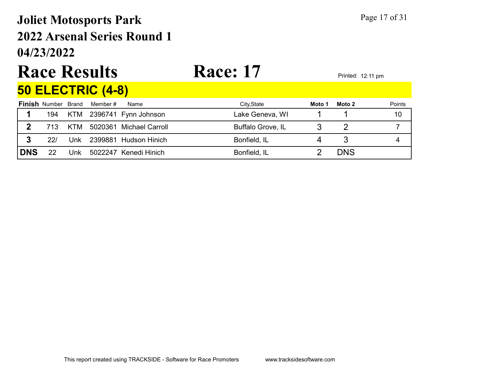## 04/23/2022 2022 Arsenal Series Round 1 Joliet Motosports Park Page 17 of 31

# Race Results Race: 17 Printed: 12:11 pm

## 50 ELECTRIC (4-8)

|            | <b>Finish Number Brand</b> |     | Member # | Name                     | City, State              | Moto 1 | Moto 2     | Points |
|------------|----------------------------|-----|----------|--------------------------|--------------------------|--------|------------|--------|
|            | 194                        |     |          | KTM 2396741 Fynn Johnson | Lake Geneva, WI          |        |            | 10     |
|            | 713                        | KTM |          | 5020361 Michael Carroll  | <b>Buffalo Grove, IL</b> |        |            |        |
|            | 22/                        | Unk |          | 2399881 Hudson Hinich    | Bonfield, IL             |        |            |        |
| <b>DNS</b> | 22                         | Unk |          | 5022247 Kenedi Hinich    | Bonfield, IL             |        | <b>DNS</b> |        |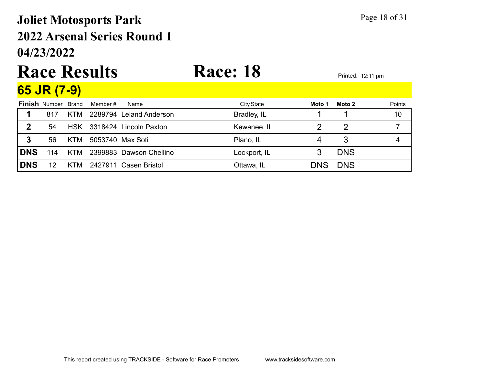## 04/23/2022 2022 Arsenal Series Round 1 Joliet Motosports Park Page 18 of 31

# Race Results Race: 18 Printed: 12:11 pm

| 65 JR (7-9) |  |
|-------------|--|
|-------------|--|

|            | <b>Finish Number Brand</b> |            | Member #<br>Name        | City, State  | Moto 1     | Moto 2     | Points |
|------------|----------------------------|------------|-------------------------|--------------|------------|------------|--------|
|            | 817                        | <b>KTM</b> | 2289794 Leland Anderson | Bradley, IL  |            |            | 10     |
| 2          | 54                         | <b>HSK</b> | 3318424 Lincoln Paxton  | Kewanee, IL  |            |            |        |
| 3          | 56                         | <b>KTM</b> | 5053740 Max Soti        | Plano, IL    |            |            |        |
| <b>DNS</b> | 114                        | KTM        | 2399883 Dawson Chellino | Lockport, IL |            | <b>DNS</b> |        |
| <b>DNS</b> | 12                         | KTM        | 2427911 Casen Bristol   | Ottawa, IL   | <b>DNS</b> | <b>DNS</b> |        |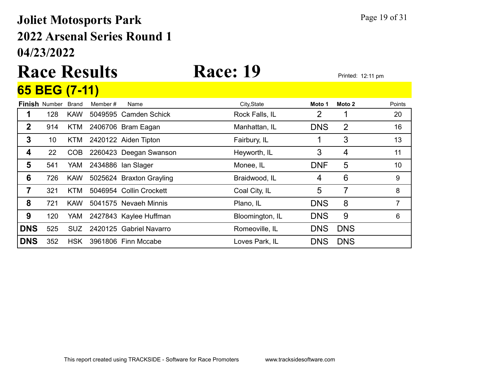## 04/23/2022 2022 Arsenal Series Round 1 Joliet Motosports Park Page 19 of 31

## Race Results Race: 19 Printed: 12:11 pm 65 BEG (7-11)

|             |                      | $\mathbf{v}$ |          |                          |                 |            |                |        |
|-------------|----------------------|--------------|----------|--------------------------|-----------------|------------|----------------|--------|
|             | <b>Finish Number</b> | <b>Brand</b> | Member # | Name                     | City, State     | Moto 1     | Moto 2         | Points |
|             | 128                  | <b>KAW</b>   |          | 5049595 Camden Schick    | Rock Falls, IL  | 2          |                | 20     |
| $\mathbf 2$ | 914                  | KTM          |          | 2406706 Bram Eagan       | Manhattan, IL   | <b>DNS</b> | $\overline{2}$ | 16     |
| 3           | 10                   | <b>KTM</b>   |          | 2420122 Aiden Tipton     | Fairbury, IL    |            | 3              | 13     |
| 4           | 22                   | COB          |          | 2260423 Deegan Swanson   | Heyworth, IL    | 3          | 4              | 11     |
| 5           | 541                  | YAM          |          | 2434886 Ian Slager       | Monee, IL       | <b>DNF</b> | 5              | 10     |
| 6           | 726                  | <b>KAW</b>   |          | 5025624 Braxton Grayling | Braidwood, IL   | 4          | 6              | 9      |
| 7           | 321                  | <b>KTM</b>   |          | 5046954 Collin Crockett  | Coal City, IL   | 5          | 7              | 8      |
| 8           | 721                  | <b>KAW</b>   |          | 5041575 Nevaeh Minnis    | Plano, IL       | <b>DNS</b> | 8              | 7      |
| 9           | 120                  | YAM          |          | 2427843 Kaylee Huffman   | Bloomington, IL | <b>DNS</b> | 9              | 6      |
| <b>DNS</b>  | 525                  | SUZ.         |          | 2420125 Gabriel Navarro  | Romeoville, IL  | <b>DNS</b> | <b>DNS</b>     |        |
| <b>DNS</b>  | 352                  | <b>HSK</b>   |          | 3961806 Finn Mccabe      | Loves Park, IL  | <b>DNS</b> | <b>DNS</b>     |        |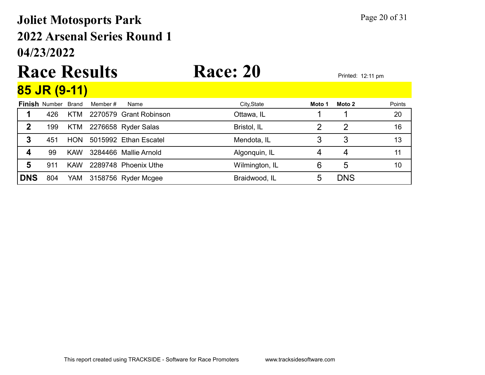## 04/23/2022 2022 Arsenal Series Round 1 Joliet Motosports Park Page 20 of 31

### Race Results Race: 20 Printed: 12:11 pm **85 ID (0.44)**

|            | <u>09 JN (9-11)</u>  |              |          |                        |                |        |            |        |
|------------|----------------------|--------------|----------|------------------------|----------------|--------|------------|--------|
|            | <b>Finish Number</b> | <b>Brand</b> | Member # | Name                   | City, State    | Moto 1 | Moto 2     | Points |
|            | 426                  | KTM          |          | 2270579 Grant Robinson | Ottawa, IL     |        |            | 20     |
| 2          | 199                  | <b>KTM</b>   |          | 2276658 Ryder Salas    | Bristol, IL    |        |            | 16     |
| 3          | 451                  | <b>HON</b>   |          | 5015992 Ethan Escatel  | Mendota, IL    |        | 3          | 13     |
|            | 99                   | <b>KAW</b>   |          | 3284466 Mallie Arnold  | Algonquin, IL  |        |            |        |
| 5          | 911                  | <b>KAW</b>   |          | 2289748 Phoenix Uthe   | Wilmington, IL | 6      | 5          | 10     |
| <b>DNS</b> | 804                  | YAM          |          | 3158756 Ryder Mcgee    | Braidwood, IL  | 5      | <b>DNS</b> |        |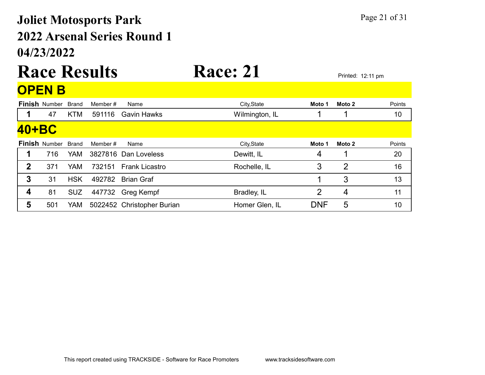## 04/23/2022 2022 Arsenal Series Round 1 Joliet Motosports Park Page 21 of 31

## Race Results Race: 21 Printed: 12:11 pm OPEN B

|              | ——————               |              |          |                            |                |            |                |        |
|--------------|----------------------|--------------|----------|----------------------------|----------------|------------|----------------|--------|
|              | <b>Finish Number</b> | <b>Brand</b> | Member # | Name                       | City, State    | Moto 1     | Moto 2         | Points |
|              | 47                   | <b>KTM</b>   | 591116   | <b>Gavin Hawks</b>         | Wilmington, IL |            |                | 10     |
| 40+BC        |                      |              |          |                            |                |            |                |        |
|              | <b>Finish Number</b> | <b>Brand</b> | Member # | Name                       | City, State    | Moto 1     | Moto 2         | Points |
|              | 716                  | <b>YAM</b>   |          | 3827816 Dan Loveless       | Dewitt, IL     | 4          |                | 20     |
| $\mathbf{2}$ | 371                  | <b>YAM</b>   | 732151   | <b>Frank Licastro</b>      | Rochelle, IL   | 3          | $\overline{2}$ | 16     |
| 3            | 31                   | <b>HSK</b>   | 492782   | <b>Brian Graf</b>          |                |            | 3              | 13     |
| 4            | 81                   | <b>SUZ</b>   | 447732   | Greg Kempf                 | Bradley, IL    | 2          | 4              | 11     |
| 5            | 501                  | YAM          |          | 5022452 Christopher Burian | Homer Glen, IL | <b>DNF</b> | 5              | 10     |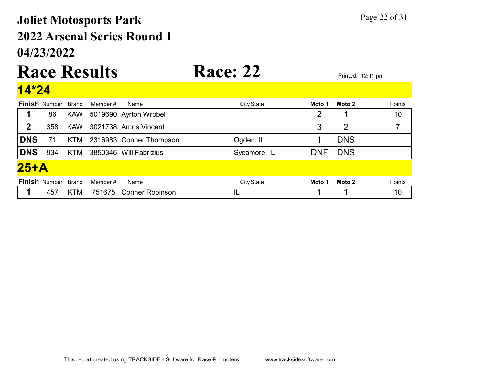## 04/23/2022 2022 Arsenal Series Round 1 Joliet Motosports Park Page 22 of 31

# Race Results Race: 22 Printed: 12:11 pm

|             | <b>Finish Number Brand</b> |            | Member # | Name                    | City, State  | Moto 1     | Moto 2         | Points         |  |  |  |
|-------------|----------------------------|------------|----------|-------------------------|--------------|------------|----------------|----------------|--|--|--|
|             | 86                         | <b>KAW</b> |          | 5019690 Ayrton Wrobel   |              | 2          |                | 10             |  |  |  |
| $\mathbf 2$ | 358                        | <b>KAW</b> |          | 3021738 Amos Vincent    |              | 3          | $\overline{2}$ | $\overline{7}$ |  |  |  |
| <b>DNS</b>  | 71                         | <b>KTM</b> |          | 2316983 Conner Thompson | Ogden, IL    |            | <b>DNS</b>     |                |  |  |  |
| <b>DNS</b>  | 934                        | <b>KTM</b> |          | 3850346 Will Fabrizius  | Sycamore, IL | <b>DNF</b> | <b>DNS</b>     |                |  |  |  |
|             | $25+A$                     |            |          |                         |              |            |                |                |  |  |  |
|             | <b>Finish Number Brand</b> |            | Member # | Name                    | City, State  | Moto 1     | Moto 2         | Points         |  |  |  |
|             | 457                        | KTM        | 751675   | <b>Conner Robinson</b>  | IL           |            |                | 10             |  |  |  |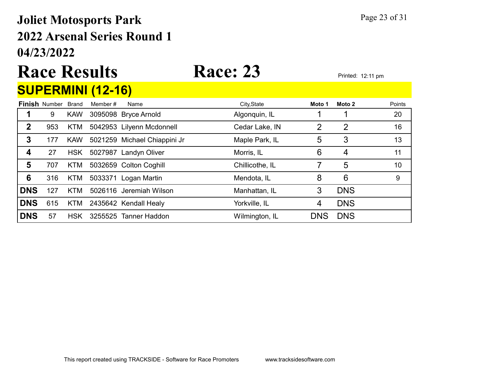## 04/23/2022 2022 Arsenal Series Round 1 Joliet Motosports Park Page 23 of 31

# Race Results Race: 23 Printed: 12:11 pm

CURERMINI (40-46)

|              |                            |            | SUPERMINI (12-10) |                              |                 |            |            |        |
|--------------|----------------------------|------------|-------------------|------------------------------|-----------------|------------|------------|--------|
|              | <b>Finish Number Brand</b> |            | Member #          | Name                         | City, State     | Moto 1     | Moto 2     | Points |
|              | 9                          | <b>KAW</b> |                   | 3095098 Bryce Arnold         | Algonquin, IL   |            |            | 20     |
| $\mathbf{2}$ | 953                        | <b>KTM</b> |                   | 5042953 Lilyenn Mcdonnell    | Cedar Lake, IN  | 2          | 2          | 16     |
| 3            | 177                        | <b>KAW</b> |                   | 5021259 Michael Chiappini Jr | Maple Park, IL  | 5          | 3          | 13     |
| 4            | 27                         | <b>HSK</b> |                   | 5027987 Landyn Oliver        | Morris, IL      | 6          | 4          | 11     |
| 5            | 707                        | <b>KTM</b> |                   | 5032659 Colton Coghill       | Chillicothe, IL |            | 5          | 10     |
| 6            | 316                        | <b>KTM</b> |                   | 5033371 Logan Martin         | Mendota, IL     | 8          | 6          | 9      |
| <b>DNS</b>   | 127                        | KTM        |                   | 5026116 Jeremiah Wilson      | Manhattan, IL   | 3          | <b>DNS</b> |        |
| <b>DNS</b>   | 615                        | <b>KTM</b> |                   | 2435642 Kendall Healy        | Yorkville, IL   | 4          | <b>DNS</b> |        |
| <b>DNS</b>   | 57                         | <b>HSK</b> |                   | 3255525 Tanner Haddon        | Wilmington, IL  | <b>DNS</b> | <b>DNS</b> |        |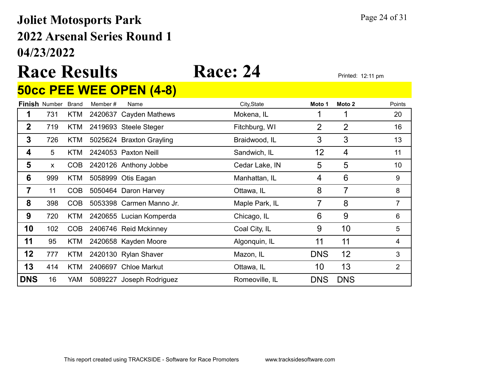## 04/23/2022 2022 Arsenal Series Round 1 Joliet Motosports Park Page 24 of 31

# Race Results Race: 24 Printed: 12:11 pm

### 50cc PEE WEE OPEN (4-8)

|              | <b>Finish Number</b> | <b>Brand</b> | Member # | Name                     | City, State    | Moto 1     | Moto 2         | Points         |
|--------------|----------------------|--------------|----------|--------------------------|----------------|------------|----------------|----------------|
| 1            | 731                  | KTM          |          | 2420637 Cayden Mathews   | Mokena, IL     |            | 1              | 20             |
| $\mathbf 2$  | 719                  | KTM          |          | 2419693 Steele Steger    | Fitchburg, WI  | 2          | $\overline{2}$ | 16             |
| $\mathbf{3}$ | 726                  | <b>KTM</b>   |          | 5025624 Braxton Grayling | Braidwood, IL  | 3          | 3              | 13             |
| 4            | 5 <sup>5</sup>       | <b>KTM</b>   |          | 2424053 Paxton Neill     | Sandwich, IL   | 12         | 4              | 11             |
| 5            | $\mathsf{x}$         | COB          |          | 2420126 Anthony Jobbe    | Cedar Lake, IN | 5          | 5              | 10             |
| 6            | 999                  | KTM          |          | 5058999 Otis Eagan       | Manhattan, IL  | 4          | 6              | 9              |
| 7            | 11                   | <b>COB</b>   |          | 5050464 Daron Harvey     | Ottawa, IL     | 8          | 7              | 8              |
| 8            | 398                  | <b>COB</b>   |          | 5053398 Carmen Manno Jr. | Maple Park, IL | 7          | 8              | $\overline{7}$ |
| 9            | 720                  | KTM          |          | 2420655 Lucian Komperda  | Chicago, IL    | 6          | 9              | 6              |
| 10           | 102                  | <b>COB</b>   |          | 2406746 Reid Mckinney    | Coal City, IL  | 9          | 10             | 5              |
| 11           | 95                   | KTM          |          | 2420658 Kayden Moore     | Algonquin, IL  | 11         | 11             | 4              |
| 12           | 777                  | KTM          |          | 2420130 Rylan Shaver     | Mazon, IL      | <b>DNS</b> | 12             | 3              |
| 13           | 414                  | <b>KTM</b>   |          | 2406697 Chloe Markut     | Ottawa, IL     | 10         | 13             | $\overline{2}$ |
| <b>DNS</b>   | 16                   | YAM          |          | 5089227 Joseph Rodriguez | Romeoville, IL | <b>DNS</b> | <b>DNS</b>     |                |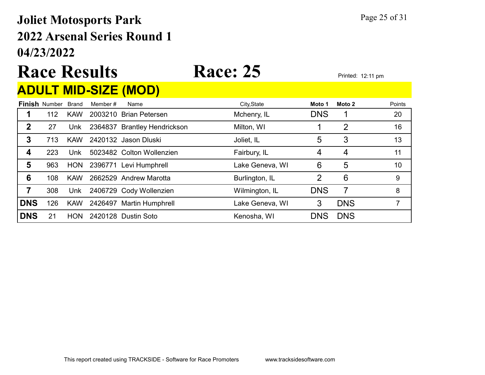## 04/23/2022 2022 Arsenal Series Round 1 Joliet Motosports Park Page 25 of 31

# Race Results Race: 25 Printed: 12:11 pm

### ADULT MID-SIZE (MOD)

|             | <b>Finish Number</b> | <b>Brand</b> | Member # | Name                         | City, State     | Moto 1     | Moto 2         | Points |
|-------------|----------------------|--------------|----------|------------------------------|-----------------|------------|----------------|--------|
|             | 112                  | <b>KAW</b>   |          | 2003210 Brian Petersen       | Mchenry, IL     | <b>DNS</b> |                | 20     |
| $\mathbf 2$ | 27                   | Unk          |          | 2364837 Brantley Hendrickson | Milton, WI      |            | $\overline{2}$ | 16     |
| 3           | 713                  | <b>KAW</b>   |          | 2420132 Jason Dluski         | Joliet, IL      | 5          | 3              | 13     |
| 4           | 223                  | Unk          |          | 5023482 Colton Wollenzien    | Fairbury, IL    | 4          | 4              | 11     |
| 5           | 963                  | <b>HON</b>   |          | 2396771 Levi Humphrell       | Lake Geneva, WI | 6          | 5              | 10     |
| 6           | 108                  | <b>KAW</b>   |          | 2662529 Andrew Marotta       | Burlington, IL  | 2          | 6              | 9      |
|             | 308                  | Unk          |          | 2406729 Cody Wollenzien      | Wilmington, IL  | <b>DNS</b> | 7              | 8      |
| <b>DNS</b>  | 126                  | <b>KAW</b>   |          | 2426497 Martin Humphrell     | Lake Geneva, WI | 3          | <b>DNS</b>     |        |
| <b>DNS</b>  | 21                   | <b>HON</b>   |          | 2420128 Dustin Soto          | Kenosha, WI     | <b>DNS</b> | <b>DNS</b>     |        |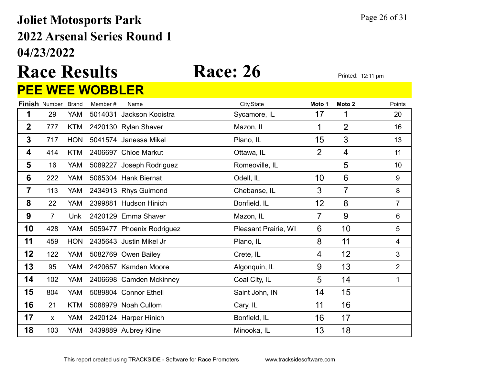## 04/23/2022 2022 Arsenal Series Round 1 Joliet Motosports Park Page 26 of 31

### Race Results Race: 26 Printed: 12:11 pm PEE WEE WOBBLER

|                 |                      |              | <u> VVLL VVVUULLIN</u> |                           |                      |                |                   |                |
|-----------------|----------------------|--------------|------------------------|---------------------------|----------------------|----------------|-------------------|----------------|
|                 | <b>Finish Number</b> | <b>Brand</b> | Member#                | Name                      | City, State          | Moto 1         | Moto <sub>2</sub> | Points         |
| 1               | 29                   | YAM          | 5014031                | Jackson Kooistra          | Sycamore, IL         | 17             | 1                 | 20             |
| $\mathbf 2$     | 777                  | <b>KTM</b>   |                        | 2420130 Rylan Shaver      | Mazon, IL            | 1              | $\overline{2}$    | 16             |
| $\mathbf{3}$    | 717                  | <b>HON</b>   |                        | 5041574 Janessa Mikel     | Plano, IL            | 15             | 3                 | 13             |
| 4               | 414                  | <b>KTM</b>   |                        | 2406697 Chloe Markut      | Ottawa, IL           | $\overline{2}$ | $\overline{4}$    | 11             |
| 5               | 16                   | YAM          |                        | 5089227 Joseph Rodriguez  | Romeoville, IL       |                | 5                 | 10             |
| $6\phantom{1}6$ | 222                  | <b>YAM</b>   |                        | 5085304 Hank Biernat      | Odell, IL            | 10             | $6\phantom{1}6$   | 9              |
| 7               | 113                  | YAM          |                        | 2434913 Rhys Guimond      | Chebanse, IL         | 3              | $\overline{7}$    | 8              |
| 8               | 22                   | <b>YAM</b>   |                        | 2399881 Hudson Hinich     | Bonfield, IL         | 12             | 8                 | $\overline{7}$ |
| 9               | $\overline{7}$       | <b>Unk</b>   |                        | 2420129 Emma Shaver       | Mazon, IL            | 7              | 9                 | $6\phantom{1}$ |
| 10              | 428                  | YAM          |                        | 5059477 Phoenix Rodriguez | Pleasant Prairie, WI | 6              | 10                | 5              |
| 11              | 459                  | <b>HON</b>   |                        | 2435643 Justin Mikel Jr   | Plano, IL            | 8              | 11                | 4              |
| 12              | 122                  | YAM          |                        | 5082769 Owen Bailey       | Crete, IL            | 4              | 12                | $\mathfrak{S}$ |
| 13              | 95                   | YAM          |                        | 2420657 Kamden Moore      | Algonquin, IL        | 9              | 13                | $\overline{2}$ |
| 14              | 102                  | YAM          |                        | 2406698 Camden Mckinney   | Coal City, IL        | 5              | 14                | 1              |
| 15              | 804                  | <b>YAM</b>   |                        | 5089804 Connor Ethell     | Saint John, IN       | 14             | 15                |                |
| 16              | 21                   | KTM          |                        | 5088979 Noah Cullom       | Cary, IL             | 11             | 16                |                |
| 17              | X                    | <b>YAM</b>   |                        | 2420124 Harper Hinich     | Bonfield, IL         | 16             | 17                |                |
| 18              | 103                  | YAM          |                        | 3439889 Aubrey Kline      | Minooka, IL          | 13             | 18                |                |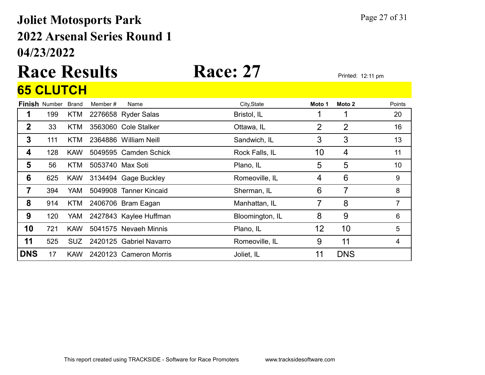## 04/23/2022 2022 Arsenal Series Round 1 Joliet Motosports Park Page 27 of 31

## Race Results Race: 27 Printed: 12:11 pm 65 CLUTCH

|              | <b>Finish Number</b> | <b>Brand</b> | Member #         | Name                    | City, State     | Moto 1 | Moto 2         | Points         |
|--------------|----------------------|--------------|------------------|-------------------------|-----------------|--------|----------------|----------------|
|              | 199                  | <b>KTM</b>   |                  | 2276658 Ryder Salas     | Bristol, IL     |        | 1              | 20             |
| $\mathbf{2}$ | 33                   | <b>KTM</b>   |                  | 3563060 Cole Stalker    | Ottawa, IL      | 2      | $\overline{2}$ | 16             |
| 3            | 111                  | KTM.         |                  | 2364886 William Neill   | Sandwich, IL    | 3      | 3              | 13             |
| 4            | 128                  | <b>KAW</b>   |                  | 5049595 Camden Schick   | Rock Falls, IL  | 10     | 4              | 11             |
| 5            | 56                   | <b>KTM</b>   | 5053740 Max Soti |                         | Plano, IL       | 5      | 5              | 10             |
| 6            | 625                  | <b>KAW</b>   |                  | 3134494 Gage Buckley    | Romeoville, IL  | 4      | 6              | 9              |
| 7            | 394                  | YAM.         |                  | 5049908 Tanner Kincaid  | Sherman, IL     | 6      | 7              | 8              |
| 8            | 914                  | <b>KTM</b>   |                  | 2406706 Bram Eagan      | Manhattan, IL   | 7      | 8              | $\overline{7}$ |
| 9            | 120                  | YAM          |                  | 2427843 Kaylee Huffman  | Bloomington, IL | 8      | 9              | 6              |
| 10           | 721                  | <b>KAW</b>   |                  | 5041575 Nevaeh Minnis   | Plano, IL       | 12     | 10             | 5              |
| 11           | 525                  | SUZ.         |                  | 2420125 Gabriel Navarro | Romeoville, IL  | 9      | 11             | 4              |
| <b>DNS</b>   | 17                   | <b>KAW</b>   |                  | 2420123 Cameron Morris  | Joliet, IL      | 11     | <b>DNS</b>     |                |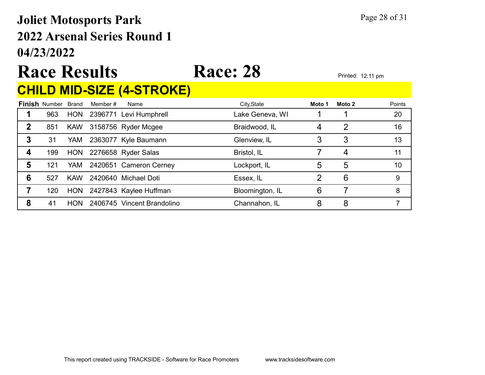## 04/23/2022 2022 Arsenal Series Round 1 Joliet Motosports Park Page 28 of 31

# Race Results Race: 28 Printed: 12:11 pm

### CHILD MID-SIZE (4-STROKE)

|   | <b>Finish Number Brand</b> |            | Member # | Name                       | City, State     | Moto 1 | Moto 2         | Points |
|---|----------------------------|------------|----------|----------------------------|-----------------|--------|----------------|--------|
|   | 963                        |            |          | HON 2396771 Levi Humphrell | Lake Geneva, WI |        |                | 20     |
| 2 | 851                        |            |          | KAW 3158756 Ryder Mcgee    | Braidwood, IL   | 4      | $\overline{2}$ | 16     |
| 3 | 31                         | YAM        |          | 2363077 Kyle Baumann       | Glenview, IL    |        | 3              | 13     |
| 4 | 199                        | <b>HON</b> |          | 2276658 Ryder Salas        | Bristol, IL     |        | 4              | 11     |
| 5 | 121                        | YAM        |          | 2420651 Cameron Cerney     | Lockport, IL    | 5      | 5              | 10     |
| 6 | 527                        | <b>KAW</b> |          | 2420640 Michael Doti       | Essex, IL       |        | 6              | 9      |
|   | 120                        | <b>HON</b> |          | 2427843 Kaylee Huffman     | Bloomington, IL | 6      |                | 8      |
| 8 | 41                         | <b>HON</b> |          | 2406745 Vincent Brandolino | Channahon, IL   | 8      | 8              |        |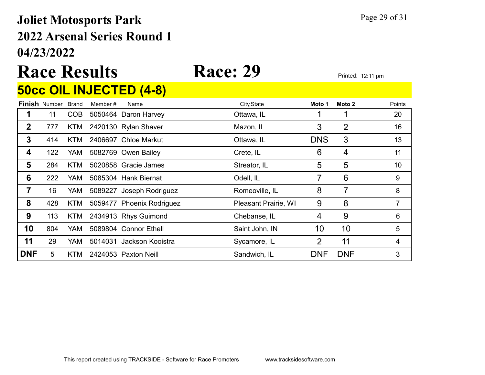## 04/23/2022 2022 Arsenal Series Round 1 Joliet Motosports Park Page 29 of 31

 $\overline{500}$  DILIFATED  $\overline{10}$ 

# Race Results Race: 29 Printed: 12:11 pm

|                |                      |              |         | <b>OUCC UIL INJEU I ED (4-8)</b> |                      |                |                |        |
|----------------|----------------------|--------------|---------|----------------------------------|----------------------|----------------|----------------|--------|
|                | <b>Finish Number</b> | <b>Brand</b> | Member# | Name                             | City, State          | Moto 1         | Moto 2         | Points |
| 1              | 11                   | <b>COB</b>   |         | 5050464 Daron Harvey             | Ottawa, IL           |                | 1              | 20     |
| $\overline{2}$ | 777                  | KTM          |         | 2420130 Rylan Shaver             | Mazon, IL            | 3              | $\overline{2}$ | 16     |
| 3              | 414                  | <b>KTM</b>   |         | 2406697 Chloe Markut             | Ottawa, IL           | <b>DNS</b>     | 3              | 13     |
| 4              | 122                  | YAM          |         | 5082769 Owen Bailey              | Crete, IL            | 6              | 4              | 11     |
| 5              | 284                  | <b>KTM</b>   |         | 5020858 Gracie James             | Streator, IL         | 5              | 5              | 10     |
| 6              | 222                  | YAM.         |         | 5085304 Hank Biernat             | Odell, IL            | 7              | 6              | 9      |
| 7              | 16                   | <b>YAM</b>   |         | 5089227 Joseph Rodriguez         | Romeoville, IL       | 8              | $\overline{7}$ | 8      |
| 8              | 428                  | <b>KTM</b>   |         | 5059477 Phoenix Rodriguez        | Pleasant Prairie, WI | 9              | 8              | 7      |
| 9              | 113                  | KTM          |         | 2434913 Rhys Guimond             | Chebanse, IL         | 4              | 9              | 6      |
| 10             | 804                  | YAM.         |         | 5089804 Connor Ethell            | Saint John, IN       | 10             | 10             | 5      |
| 11             | 29                   | <b>YAM</b>   | 5014031 | Jackson Kooistra                 | Sycamore, IL         | $\overline{2}$ | 11             | 4      |
| <b>DNF</b>     | 5                    | KTM          |         | 2424053 Paxton Neill             | Sandwich, IL         | <b>DNF</b>     | <b>DNF</b>     | 3      |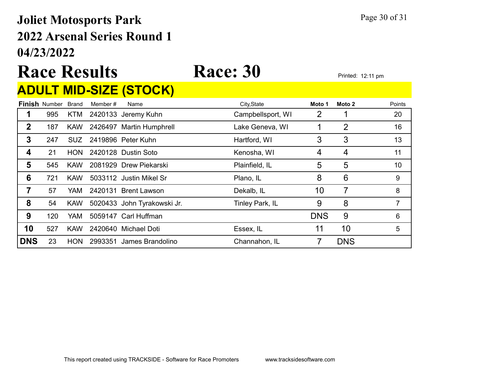## 04/23/2022 2022 Arsenal Series Round 1 Joliet Motosports Park Page 30 of 31

# Race Results Race: 30 Printed: 12:11 pm

## ADULT MID-SIZE (STOCK)

|             | <b>Finish Number</b> | Brand      | Member # | Name                        | City, State       | Moto 1     | Moto 2         | Points |
|-------------|----------------------|------------|----------|-----------------------------|-------------------|------------|----------------|--------|
|             | 995                  | <b>KTM</b> |          | 2420133 Jeremy Kuhn         | Campbellsport, WI | 2          |                | 20     |
| $\mathbf 2$ | 187                  | <b>KAW</b> |          | 2426497 Martin Humphrell    | Lake Geneva, WI   |            | $\overline{2}$ | 16     |
| 3           | 247                  | <b>SUZ</b> |          | 2419896 Peter Kuhn          | Hartford, WI      | 3          | 3              | 13     |
| 4           | 21                   | <b>HON</b> |          | 2420128 Dustin Soto         | Kenosha, WI       | 4          | 4              | 11     |
| 5           | 545                  | <b>KAW</b> |          | 2081929 Drew Piekarski      | Plainfield, IL    | 5          | 5              | 10     |
| 6           | 721                  | <b>KAW</b> |          | 5033112 Justin Mikel Sr     | Plano, IL         | 8          | 6              | 9      |
| 7           | 57                   | YAM .      |          | 2420131 Brent Lawson        | Dekalb, IL        | 10         | 7              | 8      |
| 8           | 54                   | <b>KAW</b> |          | 5020433 John Tyrakowski Jr. | Tinley Park, IL   | 9          | 8              |        |
| 9           | 120                  | YAM.       |          | 5059147 Carl Huffman        |                   | <b>DNS</b> | 9              | 6      |
| 10          | 527                  | <b>KAW</b> |          | 2420640 Michael Doti        | Essex, IL         | 11         | 10             | 5      |
| <b>DNS</b>  | 23                   | <b>HON</b> |          | 2993351 James Brandolino    | Channahon, IL     |            | <b>DNS</b>     |        |